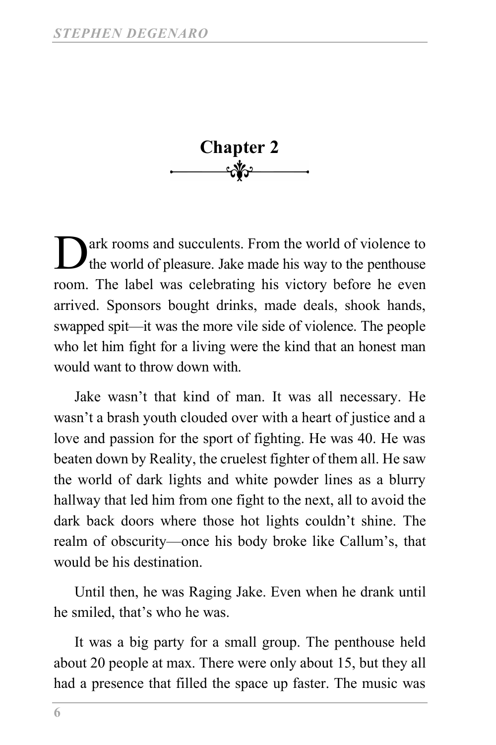Chapter 2<br>—— <del>M</del><sup>2</sup>

ark rooms and succulents. From the world of violence to the world of pleasure. Jake made his way to the penthouse room. The label was celebrating his victory before he even arrived. Sponsors bought drinks, made deals, shook hands, swapped spit—it was the more vile side of violence. The people who let him fight for a living were the kind that an honest man would want to throw down with. D

Jake wasn't that kind of man. It was all necessary. He wasn't a brash youth clouded over with a heart of justice and a love and passion for the sport of fighting. He was 40. He was beaten down by Reality, the cruelest fighter of them all. He saw the world of dark lights and white powder lines as a blurry hallway that led him from one fight to the next, all to avoid the dark back doors where those hot lights couldn't shine. The realm of obscurity—once his body broke like Callum's, that would be his destination.

Until then, he was Raging Jake. Even when he drank until he smiled, that's who he was.

It was a big party for a small group. The penthouse held about 20 people at max. There were only about 15, but they all had a presence that filled the space up faster. The music was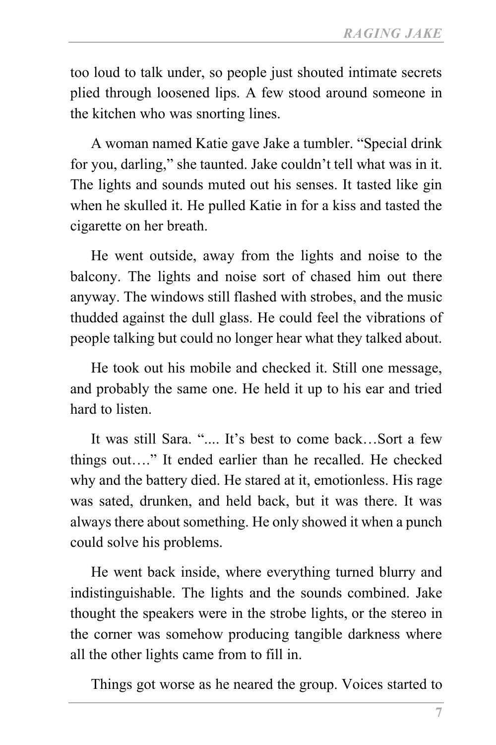too loud to talk under, so people just shouted intimate secrets plied through loosened lips. A few stood around someone in the kitchen who was snorting lines.

A woman named Katie gave Jake a tumbler. "Special drink for you, darling," she taunted. Jake couldn't tell what was in it. The lights and sounds muted out his senses. It tasted like gin when he skulled it. He pulled Katie in for a kiss and tasted the cigarette on her breath.

He went outside, away from the lights and noise to the balcony. The lights and noise sort of chased him out there anyway. The windows still flashed with strobes, and the music thudded against the dull glass. He could feel the vibrations of people talking but could no longer hear what they talked about.

He took out his mobile and checked it. Still one message, and probably the same one. He held it up to his ear and tried hard to listen.

It was still Sara. ".... It's best to come back…Sort a few things out…." It ended earlier than he recalled. He checked why and the battery died. He stared at it, emotionless. His rage was sated, drunken, and held back, but it was there. It was always there about something. He only showed it when a punch could solve his problems.

He went back inside, where everything turned blurry and indistinguishable. The lights and the sounds combined. Jake thought the speakers were in the strobe lights, or the stereo in the corner was somehow producing tangible darkness where all the other lights came from to fill in.

Things got worse as he neared the group. Voices started to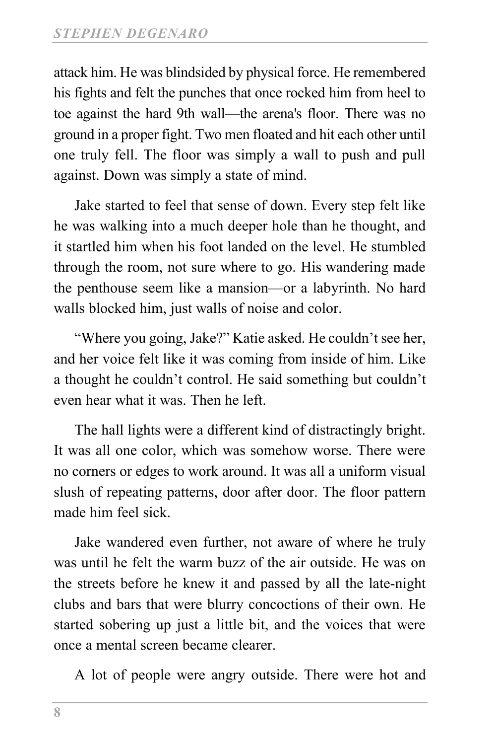attack him. He was blindsided by physical force. He remembered his fights and felt the punches that once rocked him from heel to toe against the hard 9th wall—the arena's floor. There was no ground in a proper fight. Two men floated and hit each other until one truly fell. The floor was simply a wall to push and pull against. Down was simply a state of mind.

Jake started to feel that sense of down. Every step felt like he was walking into a much deeper hole than he thought, and it startled him when his foot landed on the level. He stumbled through the room, not sure where to go. His wandering made the penthouse seem like a mansion—or a labyrinth. No hard walls blocked him, just walls of noise and color.

"Where you going, Jake?" Katie asked. He couldn't see her, and her voice felt like it was coming from inside of him. Like a thought he couldn't control. He said something but couldn't even hear what it was. Then he left.

The hall lights were a different kind of distractingly bright. It was all one color, which was somehow worse. There were no corners or edges to work around. It was all a uniform visual slush of repeating patterns, door after door. The floor pattern made him feel sick.

Jake wandered even further, not aware of where he truly was until he felt the warm buzz of the air outside. He was on the streets before he knew it and passed by all the late-night clubs and bars that were blurry concoctions of their own. He started sobering up just a little bit, and the voices that were once a mental screen became clearer.

A lot of people were angry outside. There were hot and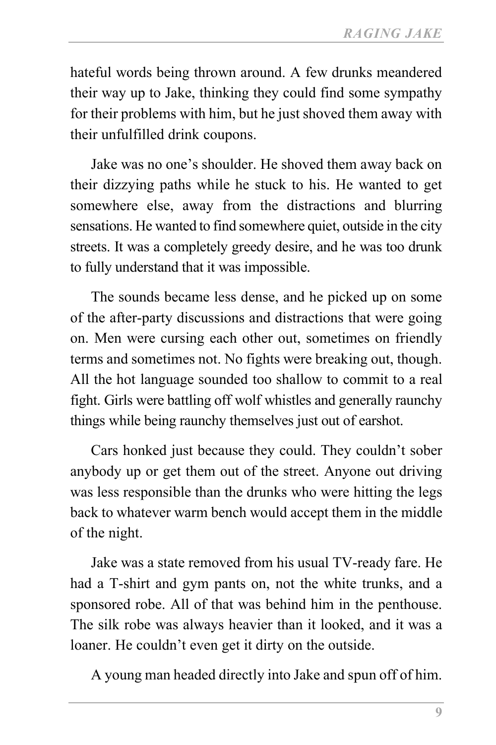hateful words being thrown around. A few drunks meandered their way up to Jake, thinking they could find some sympathy for their problems with him, but he just shoved them away with their unfulfilled drink coupons.

Jake was no one's shoulder. He shoved them away back on their dizzying paths while he stuck to his. He wanted to get somewhere else, away from the distractions and blurring sensations. He wanted to find somewhere quiet, outside in the city streets. It was a completely greedy desire, and he was too drunk to fully understand that it was impossible.

The sounds became less dense, and he picked up on some of the after-party discussions and distractions that were going on. Men were cursing each other out, sometimes on friendly terms and sometimes not. No fights were breaking out, though. All the hot language sounded too shallow to commit to a real fight. Girls were battling off wolf whistles and generally raunchy things while being raunchy themselves just out of earshot.

Cars honked just because they could. They couldn't sober anybody up or get them out of the street. Anyone out driving was less responsible than the drunks who were hitting the legs back to whatever warm bench would accept them in the middle of the night.

Jake was a state removed from his usual TV-ready fare. He had a T-shirt and gym pants on, not the white trunks, and a sponsored robe. All of that was behind him in the penthouse. The silk robe was always heavier than it looked, and it was a loaner. He couldn't even get it dirty on the outside.

A young man headed directly into Jake and spun off of him.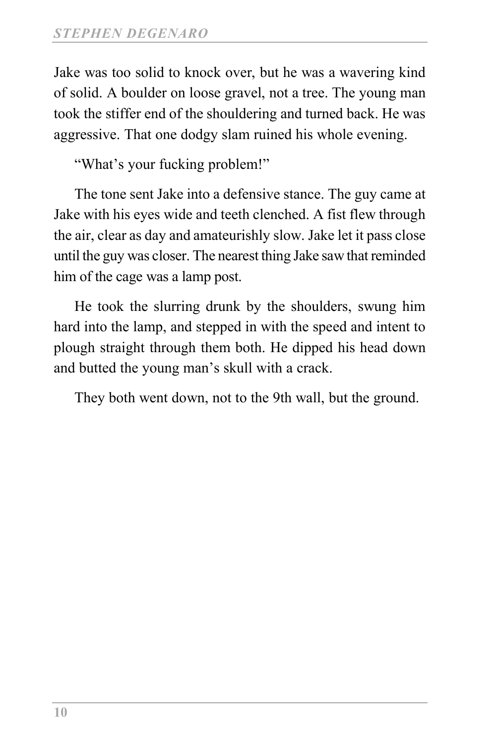Jake was too solid to knock over, but he was a wavering kind of solid. A boulder on loose gravel, not a tree. The young man took the stiffer end of the shouldering and turned back. He was aggressive. That one dodgy slam ruined his whole evening.

"What's your fucking problem!"

The tone sent Jake into a defensive stance. The guy came at Jake with his eyes wide and teeth clenched. A fist flew through the air, clear as day and amateurishly slow. Jake let it pass close until the guy was closer. The nearest thing Jake saw that reminded him of the cage was a lamp post.

He took the slurring drunk by the shoulders, swung him hard into the lamp, and stepped in with the speed and intent to plough straight through them both. He dipped his head down and butted the young man's skull with a crack.

They both went down, not to the 9th wall, but the ground.